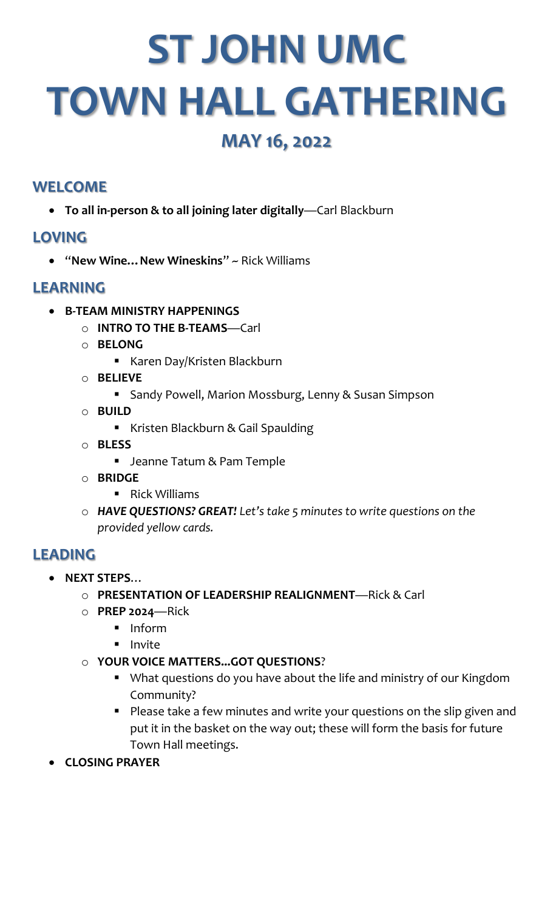# **ST JOHN UMC TOWN HALL GATHERING**

# **MAY 16, 2022**

# **WELCOME**

• **To all in-person & to all joining later digitally**—Carl Blackburn

# **LOVING**

• "**New Wine…New Wineskins**" ~ Rick Williams

# **LEARNING**

- **B-TEAM MINISTRY HAPPENINGS**
	- o **INTRO TO THE B-TEAMS**—Carl
	- o **BELONG**
		- Karen Day/Kristen Blackburn
	- o **BELIEVE**
		- Sandy Powell, Marion Mossburg, Lenny & Susan Simpson
	- o **BUILD**
		- Kristen Blackburn & Gail Spaulding
	- o **BLESS**
		- Jeanne Tatum & Pam Temple
	- o **BRIDGE**
		- Rick Williams
	- o *HAVE QUESTIONS? GREAT! Let's take 5 minutes to write questions on the provided yellow cards.*

# **LEADING**

- **NEXT STEPS**…
	- o **PRESENTATION OF LEADERSHIP REALIGNMENT**—Rick & Carl
	- o **PREP 2024**—Rick
		- Inform
		- Invite
	- o **YOUR VOICE MATTERS...GOT QUESTIONS**?
		- What questions do you have about the life and ministry of our Kingdom Community?
		- Please take a few minutes and write your questions on the slip given and put it in the basket on the way out; these will form the basis for future Town Hall meetings.
- **CLOSING PRAYER**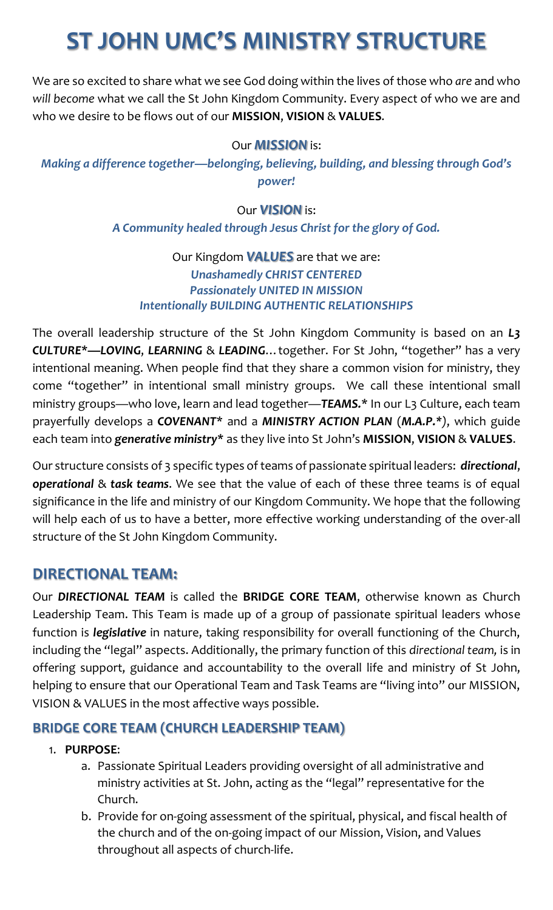# **ST JOHN UMC'S MINISTRY STRUCTURE**

We are so excited to share what we see God doing within the lives of those who *are* and who *will become* what we call the St John Kingdom Community. Every aspect of who we are and who we desire to be flows out of our **MISSION**, **VISION** & **VALUES**.

#### Our *MISSION* is:

*Making a difference together—belonging, believing, building, and blessing through God's power!*

#### Our *VISION* is:

#### *A Community healed through Jesus Christ for the glory of God.*

#### Our Kingdom *VALUES* are that we are: *Unashamedly CHRIST CENTERED Passionately UNITED IN MISSION Intentionally BUILDING AUTHENTIC RELATIONSHIPS*

The overall leadership structure of the St John Kingdom Community is based on an *L3 CULTURE***\****—LOVING*, *LEARNING* & *LEADING*…together. For St John, "together" has a very intentional meaning. When people find that they share a common vision for ministry, they come "together" in intentional small ministry groups. We call these intentional small ministry groups—who love, learn and lead together—*TEAMS.*\* In our L3 Culture, each team prayerfully develops a *COVENANT*\* and a *MINISTRY ACTION PLAN* (*M.A.P.\*)*, which guide each team into *generative ministry***\*** as they live into St John's **MISSION**, **VISION** & **VALUES**.

Our structure consists of 3 specific types of teams of passionate spiritual leaders: *directional*, *operational* & *task teams*. We see that the value of each of these three teams is of equal significance in the life and ministry of our Kingdom Community. We hope that the following will help each of us to have a better, more effective working understanding of the over-all structure of the St John Kingdom Community.

# **DIRECTIONAL TEAM:**

Our *DIRECTIONAL TEAM* is called the **BRIDGE CORE TEAM**, otherwise known as Church Leadership Team. This Team is made up of a group of passionate spiritual leaders whose function is *legislative* in nature, taking responsibility for overall functioning of the Church, including the "legal" aspects. Additionally, the primary function of this *directional team,* is in offering support, guidance and accountability to the overall life and ministry of St John, helping to ensure that our Operational Team and Task Teams are "living into" our MISSION, VISION & VALUES in the most affective ways possible.

#### **BRIDGE CORE TEAM (CHURCH LEADERSHIP TEAM)**

#### 1. **PURPOSE**:

- a. Passionate Spiritual Leaders providing oversight of all administrative and ministry activities at St. John, acting as the "legal" representative for the Church.
- b. Provide for on-going assessment of the spiritual, physical, and fiscal health of the church and of the on-going impact of our Mission, Vision, and Values throughout all aspects of church-life.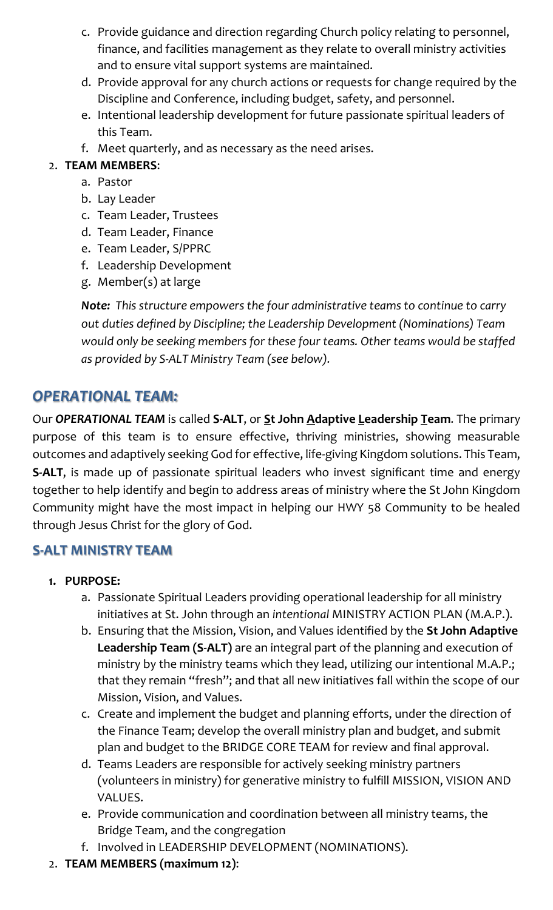- c. Provide guidance and direction regarding Church policy relating to personnel, finance, and facilities management as they relate to overall ministry activities and to ensure vital support systems are maintained.
- d. Provide approval for any church actions or requests for change required by the Discipline and Conference, including budget, safety, and personnel.
- e. Intentional leadership development for future passionate spiritual leaders of this Team.
- f. Meet quarterly, and as necessary as the need arises.
- 2. **TEAM MEMBERS**:
	- a. Pastor
	- b. Lay Leader
	- c. Team Leader, Trustees
	- d. Team Leader, Finance
	- e. Team Leader, S/PPRC
	- f. Leadership Development
	- g. Member(s) at large

*Note: This structure empowers the four administrative teams to continue to carry out duties defined by Discipline; the Leadership Development (Nominations) Team would only be seeking members for these four teams. Other teams would be staffed as provided by S-ALT Ministry Team (see below).*

# *OPERATIONAL TEAM:*

Our *OPERATIONAL TEAM* is called **S-ALT**, or **St John Adaptive Leadership Team**. The primary purpose of this team is to ensure effective, thriving ministries, showing measurable outcomes and adaptively seeking God for effective, life-giving Kingdom solutions. This Team, **S-ALT**, is made up of passionate spiritual leaders who invest significant time and energy together to help identify and begin to address areas of ministry where the St John Kingdom Community might have the most impact in helping our HWY 58 Community to be healed through Jesus Christ for the glory of God.

# **S-ALT MINISTRY TEAM**

- **1. PURPOSE:**
	- a. Passionate Spiritual Leaders providing operational leadership for all ministry initiatives at St. John through an *intentional* MINISTRY ACTION PLAN (M.A.P.).
	- b. Ensuring that the Mission, Vision, and Values identified by the **St John Adaptive Leadership Team (S-ALT)** are an integral part of the planning and execution of ministry by the ministry teams which they lead, utilizing our intentional M.A.P.; that they remain "fresh"; and that all new initiatives fall within the scope of our Mission, Vision, and Values.
	- c. Create and implement the budget and planning efforts, under the direction of the Finance Team; develop the overall ministry plan and budget, and submit plan and budget to the BRIDGE CORE TEAM for review and final approval.
	- d. Teams Leaders are responsible for actively seeking ministry partners (volunteers in ministry) for generative ministry to fulfill MISSION, VISION AND VALUES.
	- e. Provide communication and coordination between all ministry teams, the Bridge Team, and the congregation
	- f. Involved in LEADERSHIP DEVELOPMENT (NOMINATIONS).
- 2. **TEAM MEMBERS (maximum 12)**: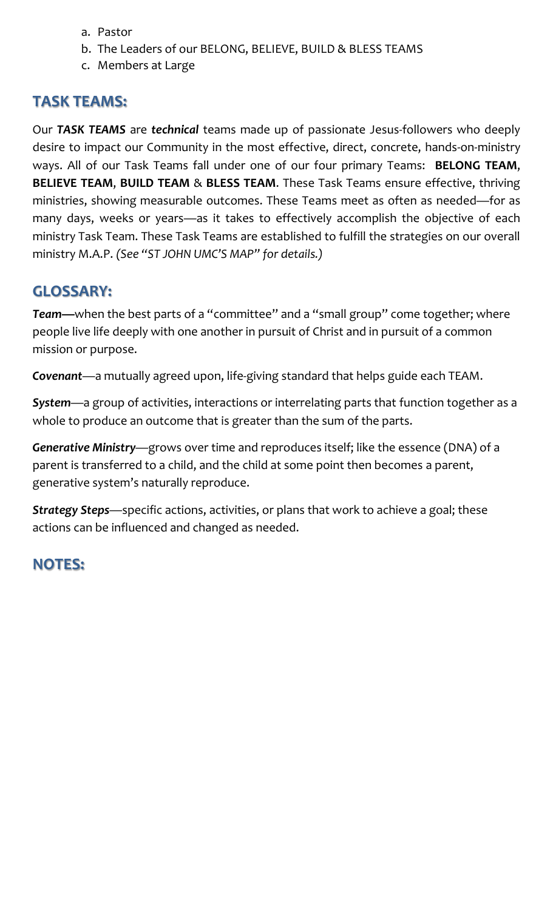- a. Pastor
- b. The Leaders of our BELONG, BELIEVE, BUILD & BLESS TEAMS
- c. Members at Large

### **TASK TEAMS:**

Our *TASK TEAMS* are *technical* teams made up of passionate Jesus-followers who deeply desire to impact our Community in the most effective, direct, concrete, hands-on-ministry ways. All of our Task Teams fall under one of our four primary Teams: **BELONG TEAM**, **BELIEVE TEAM**, **BUILD TEAM** & **BLESS TEAM**. These Task Teams ensure effective, thriving ministries, showing measurable outcomes. These Teams meet as often as needed—for as many days, weeks or years—as it takes to effectively accomplish the objective of each ministry Task Team. These Task Teams are established to fulfill the strategies on our overall ministry M.A.P. *(See "ST JOHN UMC'S MAP" for details.)*

# **GLOSSARY:**

*Team—*when the best parts of a "committee" and a "small group" come together; where people live life deeply with one another in pursuit of Christ and in pursuit of a common mission or purpose.

*Covenant*—a mutually agreed upon, life-giving standard that helps guide each TEAM.

*System*—a group of activities, interactions or interrelating parts that function together as a whole to produce an outcome that is greater than the sum of the parts.

*Generative Ministry*—grows over time and reproduces itself; like the essence (DNA) of a parent is transferred to a child, and the child at some point then becomes a parent, generative system's naturally reproduce.

*Strategy Steps*—specific actions, activities, or plans that work to achieve a goal; these actions can be influenced and changed as needed.

# **NOTES:**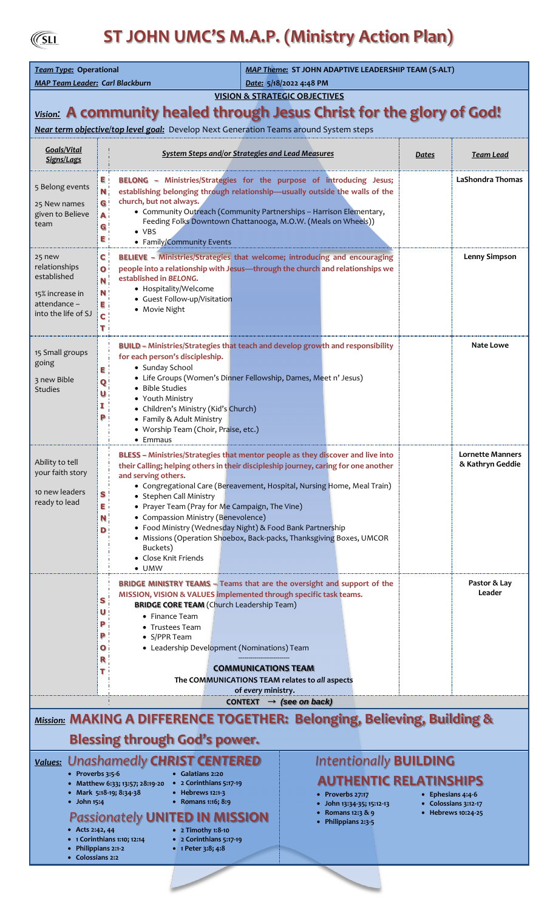$\sqrt{\text{SLI}}$ 

# **ST JOHN UMC'S M.A.P. (Ministry Action Plan)**

| Team Type: Operational<br><b>MAP Team Leader: Carl Blackburn</b>                                                                                                                                                                                                                                                                                                                                                                                                               |                                   |                                                                                                                                                                                                                                                                                                                                                                                                                                                                                                                                                                                        | <b>MAP Theme: ST JOHN ADAPTIVE LEADERSHIP TEAM (S-ALT)</b><br>Date: 5/18/2022 4:48 PM |       |                                             |
|--------------------------------------------------------------------------------------------------------------------------------------------------------------------------------------------------------------------------------------------------------------------------------------------------------------------------------------------------------------------------------------------------------------------------------------------------------------------------------|-----------------------------------|----------------------------------------------------------------------------------------------------------------------------------------------------------------------------------------------------------------------------------------------------------------------------------------------------------------------------------------------------------------------------------------------------------------------------------------------------------------------------------------------------------------------------------------------------------------------------------------|---------------------------------------------------------------------------------------|-------|---------------------------------------------|
| <b>VISION &amp; STRATEGIC OBJECTIVES</b>                                                                                                                                                                                                                                                                                                                                                                                                                                       |                                   |                                                                                                                                                                                                                                                                                                                                                                                                                                                                                                                                                                                        |                                                                                       |       |                                             |
| <b>Vision:</b> A community healed through Jesus Christ for the glory of God!                                                                                                                                                                                                                                                                                                                                                                                                   |                                   |                                                                                                                                                                                                                                                                                                                                                                                                                                                                                                                                                                                        |                                                                                       |       |                                             |
| Near term objective/top level goal: Develop Next Generation Teams around System steps                                                                                                                                                                                                                                                                                                                                                                                          |                                   |                                                                                                                                                                                                                                                                                                                                                                                                                                                                                                                                                                                        |                                                                                       |       |                                             |
| Goals/Vital<br>Signs/Lags                                                                                                                                                                                                                                                                                                                                                                                                                                                      |                                   | <b>System Steps and/or Strategies and Lead Measures</b>                                                                                                                                                                                                                                                                                                                                                                                                                                                                                                                                |                                                                                       | Dates | <b>Team Lead</b>                            |
| 5 Belong events<br>25 New names<br>given to Believe<br>team                                                                                                                                                                                                                                                                                                                                                                                                                    | E !<br>Ν,<br>G<br>A<br>G<br>Е     | BELONG - Ministries/Strategies for the purpose of introducing Jesus;<br>establishing belonging through relationship-usually outside the walls of the<br>church, but not always.<br>• Community Outreach (Community Partnerships -- Harrison Elementary,<br>Feeding Folks Downtown Chattanooga, M.O.W. (Meals on Wheels))<br>$\bullet$ VBS<br>• Family/Community Events                                                                                                                                                                                                                 |                                                                                       |       | <b>LaShondra Thomas</b>                     |
| 25 new<br>relationships<br>established<br>15% increase in<br>attendance -<br>into the life of SJ                                                                                                                                                                                                                                                                                                                                                                               | С<br>י ס<br>N<br>N<br>в<br>c<br>т | BELIEVE - Ministries/Strategies that welcome; introducing and encouraging<br>people into a relationship with Jesus-through the church and relationships we<br>established in BELONG.<br>• Hospitality/Welcome<br>• Guest Follow-up/Visitation<br>• Movie Night                                                                                                                                                                                                                                                                                                                         |                                                                                       |       | <b>Lenny Simpson</b>                        |
| 15 Small groups<br>going<br>3 new Bible<br><b>Studies</b>                                                                                                                                                                                                                                                                                                                                                                                                                      | Е<br>O<br>Р                       | <b>BUILD - Ministries/Strategies that teach and develop growth and responsibility</b><br>for each person's discipleship.<br>• Sunday School<br>• Life Groups (Women's Dinner Fellowship, Dames, Meet n' Jesus)<br>• Bible Studies<br>• Youth Ministry<br>• Children's Ministry (Kid's Church)<br>• Family & Adult Ministry<br>• Worship Team (Choir, Praise, etc.)<br>$\bullet$ Emmaus                                                                                                                                                                                                 |                                                                                       |       | Nate Lowe                                   |
| Ability to tell<br>your faith story<br>10 new leaders<br>ready to lead                                                                                                                                                                                                                                                                                                                                                                                                         | S<br>E.<br>N<br>D                 | BLESS - Ministries/Strategies that mentor people as they discover and live into<br>their Calling; helping others in their discipleship journey, caring for one another<br>and serving others.<br>• Congregational Care (Bereavement, Hospital, Nursing Home, Meal Train)<br>• Stephen Call Ministry<br>• Prayer Team (Pray for Me Campaign, The Vine)<br>• Compassion Ministry (Benevolence)<br>• Food Ministry (Wednesday Night) & Food Bank Partnership<br>• Missions (Operation Shoebox, Back-packs, Thanksgiving Boxes, UMCOR<br>Buckets)<br>• Close Knit Friends<br>$\bullet$ UMW |                                                                                       |       | <b>Lornette Manners</b><br>& Kathryn Geddie |
|                                                                                                                                                                                                                                                                                                                                                                                                                                                                                | S<br>υ<br>Р<br>Р<br>О<br>R<br>т   | BRIDGE MINISTRY TEAMS - Teams that are the oversight and support of the<br>MISSION, VISION & VALUES implemented through specific task teams.<br><b>BRIDGE CORE TEAM (Church Leadership Team)</b><br>• Finance Team<br>• Trustees Team<br>• S/PPR Team<br>• Leadership Development (Nominations) Team<br><b>COMMUNICATIONS TEAM</b><br>The COMMUNICATIONS TEAM relates to all aspects<br>of every ministry.                                                                                                                                                                             |                                                                                       |       | Pastor & Lay<br>Leader                      |
| CONTEXT $\rightarrow$ (see on back)                                                                                                                                                                                                                                                                                                                                                                                                                                            |                                   |                                                                                                                                                                                                                                                                                                                                                                                                                                                                                                                                                                                        |                                                                                       |       |                                             |
| Mission: MAKING A DIFFERENCE TOGETHER: Belonging, Believing, Building &<br><b>Blessing through God's power.</b>                                                                                                                                                                                                                                                                                                                                                                |                                   |                                                                                                                                                                                                                                                                                                                                                                                                                                                                                                                                                                                        |                                                                                       |       |                                             |
| <b>Intentionally BUILDING</b><br>Values: Unashamedly CHRIST CENTERED                                                                                                                                                                                                                                                                                                                                                                                                           |                                   |                                                                                                                                                                                                                                                                                                                                                                                                                                                                                                                                                                                        |                                                                                       |       |                                             |
| • Proverbs 3:5-6<br>• Galatians 2:20<br><b>AUTHENTIC RELATINSHIPS</b><br>• Matthew 6:33; 13:57; 28:19-20 • 2 Corinthians 5:17-19<br>• Mark 5:18-19; 8:34-38<br>• Hebrews 12:1-3<br>• Proverbs 27:17<br>• Ephesians 4:4-6<br>$\bullet$ John 15:4<br>• Romans 1:16; 8:9<br>• John 13:34-35; 15:12-13<br>• Colossians 3:12-17<br>• Romans 12:3 & 9<br>• Hebrews 10:24-25<br><b>Passionately UNITED IN MISSION</b><br>• Philippians 2:3-5<br>• 2 Timothy 1:8-10<br>• Acts 2:42, 44 |                                   |                                                                                                                                                                                                                                                                                                                                                                                                                                                                                                                                                                                        |                                                                                       |       |                                             |

- **1 Corinthians 1:10; 12:14**
- **Philippians 2:1-2** • **Colossians 2:2**

• **Romans 1:16; 8:9**

- **2 Corinthians 5:17-19** • **1 Peter 3:8; 4:8**
- 
- 
- 
-